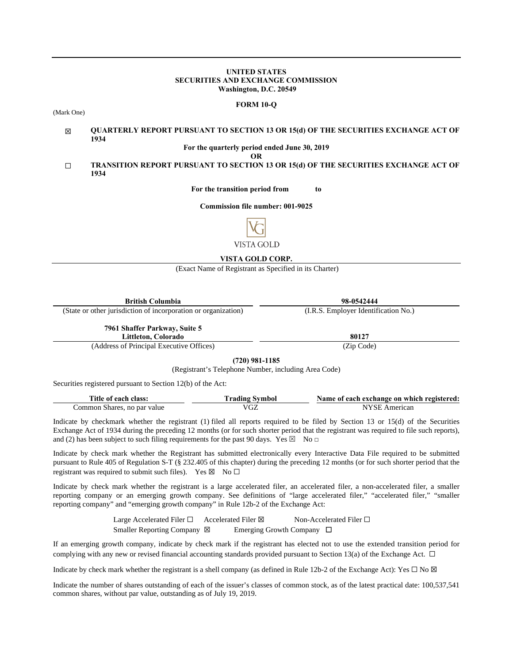#### **UNITED STATES SECURITIES AND EXCHANGE COMMISSION Washington, D.C. 20549**

#### **FORM 10-Q**

(Mark One)

#### ☒ **QUARTERLY REPORT PURSUANT TO SECTION 13 OR 15(d) OF THE SECURITIES EXCHANGE ACT OF 1934**

**For the quarterly period ended June 30, 2019**

**OR**

☐ **TRANSITION REPORT PURSUANT TO SECTION 13 OR 15(d) OF THE SECURITIES EXCHANGE ACT OF 1934**

**For the transition period from to**

**Commission file number: 001-9025**



**VISTA GOLD CORP.** 

(Exact Name of Registrant as Specified in its Charter)

| <b>British Columbia</b>                                        | 98-0542444                           |  |  |  |  |  |
|----------------------------------------------------------------|--------------------------------------|--|--|--|--|--|
| (State or other jurisdiction of incorporation or organization) | (I.R.S. Employer Identification No.) |  |  |  |  |  |
| 7961 Shaffer Parkway, Suite 5<br>Littleton, Colorado           | 80127                                |  |  |  |  |  |
| (Address of Principal Executive Offices)                       | (Zip Code)                           |  |  |  |  |  |
| (1.001, 0.01, 1.07)                                            |                                      |  |  |  |  |  |

**(720) 981-1185**

(Registrant's Telephone Number, including Area Code)

Securities registered pursuant to Section 12(b) of the Act:

| Title of each class:        | `rading Svmbol_ | Name of each exchange on which registered: |
|-----------------------------|-----------------|--------------------------------------------|
| Common Shares, no par value | UΖ              | NYSF<br>American                           |

Indicate by checkmark whether the registrant (1) filed all reports required to be filed by Section 13 or 15(d) of the Securities Exchange Act of 1934 during the preceding 12 months (or for such shorter period that the registrant was required to file such reports), and (2) has been subject to such filing requirements for the past 90 days. Yes  $\boxtimes$  No  $\Box$ 

Indicate by check mark whether the Registrant has submitted electronically every Interactive Data File required to be submitted pursuant to Rule 405 of Regulation S-T (§ 232.405 of this chapter) during the preceding 12 months (or for such shorter period that the registrant was required to submit such files). Yes  $\boxtimes$  No  $\Box$ 

Indicate by check mark whether the registrant is a large accelerated filer, an accelerated filer, a non-accelerated filer, a smaller reporting company or an emerging growth company. See definitions of "large accelerated filer," "accelerated filer," "smaller reporting company" and "emerging growth company" in Rule 12b-2 of the Exchange Act:

> Large Accelerated Filer □ Accelerated Filer ⊠ Non-Accelerated Filer □ Smaller Reporting Company ⊠ Emerging Growth Company □

If an emerging growth company, indicate by check mark if the registrant has elected not to use the extended transition period for complying with any new or revised financial accounting standards provided pursuant to Section 13(a) of the Exchange Act.  $\Box$ 

Indicate by check mark whether the registrant is a shell company (as defined in Rule 12b-2 of the Exchange Act): Yes  $\Box$  No  $\boxtimes$ 

Indicate the number of shares outstanding of each of the issuer's classes of common stock, as of the latest practical date: 100,537,541 common shares, without par value, outstanding as of July 19, 2019.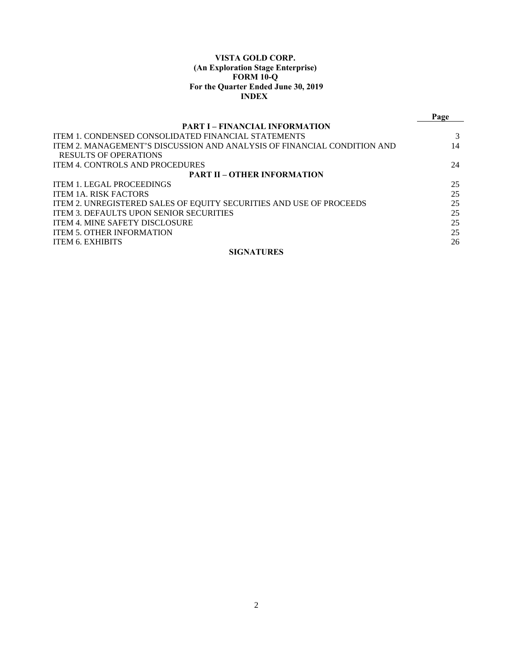## **VISTA GOLD CORP. (An Exploration Stage Enterprise) FORM 10-Q For the Quarter Ended June 30, 2019 INDEX**

|                                                                         | Page |  |  |  |  |
|-------------------------------------------------------------------------|------|--|--|--|--|
| <b>PART I – FINANCIAL INFORMATION</b>                                   |      |  |  |  |  |
| <b>ITEM 1. CONDENSED CONSOLIDATED FINANCIAL STATEMENTS</b>              |      |  |  |  |  |
| ITEM 2. MANAGEMENT'S DISCUSSION AND ANALYSIS OF FINANCIAL CONDITION AND | 14   |  |  |  |  |
| <b>RESULTS OF OPERATIONS</b>                                            |      |  |  |  |  |
| <b>ITEM 4. CONTROLS AND PROCEDURES</b>                                  | 24   |  |  |  |  |
| <b>PART II – OTHER INFORMATION</b>                                      |      |  |  |  |  |
| <b>ITEM 1. LEGAL PROCEEDINGS</b>                                        | 25   |  |  |  |  |
| <b>ITEM 1A. RISK FACTORS</b>                                            | 25   |  |  |  |  |
| ITEM 2. UNREGISTERED SALES OF EQUITY SECURITIES AND USE OF PROCEEDS     | 25   |  |  |  |  |
| <b>ITEM 3. DEFAULTS UPON SENIOR SECURITIES</b>                          | 25   |  |  |  |  |
| <b>ITEM 4. MINE SAFETY DISCLOSURE</b>                                   | 25   |  |  |  |  |
| <b>ITEM 5. OTHER INFORMATION</b>                                        | 25   |  |  |  |  |
| <b>ITEM 6. EXHIBITS</b>                                                 | 26   |  |  |  |  |
| <b>SIGNATURES</b>                                                       |      |  |  |  |  |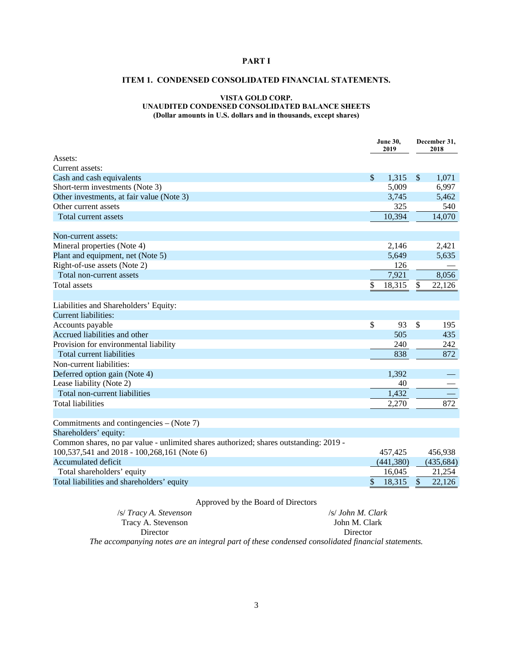## **PART I**

## **ITEM 1. CONDENSED CONSOLIDATED FINANCIAL STATEMENTS.**

#### **VISTA GOLD CORP. UNAUDITED CONDENSED CONSOLIDATED BALANCE SHEETS (Dollar amounts in U.S. dollars and in thousands, except shares)**

**June 30, December 31, 2019 2019 2018**  Assets: Current assets: Cash and cash equivalents  $$ 1,315 \$ 1,071$ Short-term investments (Note 3) 5,009 6,997 Other investments, at fair value (Note 3) 3,745 5,462 Other current assets 325 540 Total current assets  $10,394$   $14,070$ Non-current assets: Mineral properties (Note 4) 2,421 Plant and equipment, net (Note 5) 5,635  $Right-of-use assets (Note 2)$  126 Total non-current assets 7,921 8,056 Total assets  $\frac{18,315}{8}$   $\frac{22,126}{8}$ Liabilities and Shareholders' Equity: Current liabilities: Accounts payable  $\qquad \qquad$  195 Accrued liabilities and other 505 435 Provision for environmental liability 240 242 Total current liabilities 838 872 Non-current liabilities: Deferred option gain (Note 4) 1,392 Lease liability (Note 2) 40 Total non-current liabilities 1,432 Total liabilities 2,270 872 Commitments and contingencies – (Note 7) Shareholders' equity: Common shares, no par value - unlimited shares authorized; shares outstanding: 2019 - 100,537,541 and 2018 - 100,268,161 (Note 6) 457,425 456,938 Accumulated deficit (455,684) (435,684) Total shareholders' equity 16,045 21,254 Total liabilities and shareholders' equity **\$** 18,315 \$ 22,126

## Approved by the Board of Directors

| /s/ Tracy A. Stevenson |  |  | /s/ John M. Clark |
|------------------------|--|--|-------------------|
| Tracy A. Stevenson     |  |  | John M. Clark     |
| Director               |  |  | Director          |
|                        |  |  |                   |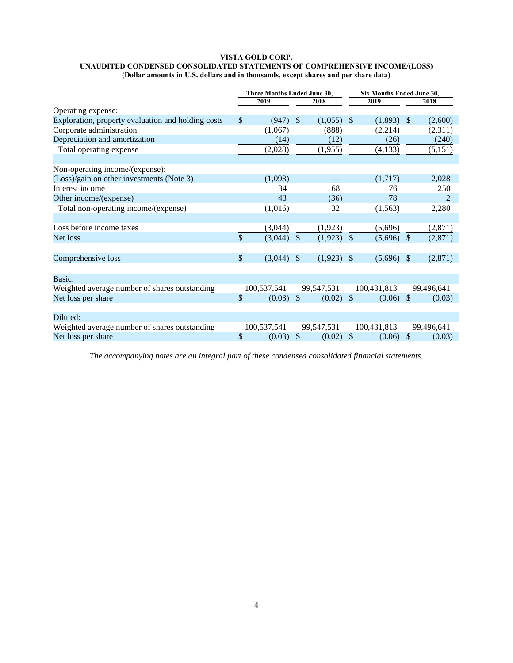#### **VISTA GOLD CORP. UNAUDITED CONDENSED CONSOLIDATED STATEMENTS OF COMPREHENSIVE INCOME/(LOSS) (Dollar amounts in U.S. dollars and in thousands, except shares and per share data)**

|                                                    | Three Months Ended June 30, |              |               | Six Months Ended June 30, |              |             |               |                |
|----------------------------------------------------|-----------------------------|--------------|---------------|---------------------------|--------------|-------------|---------------|----------------|
|                                                    |                             | 2019<br>2018 |               |                           | 2019         |             |               | 2018           |
| Operating expense:                                 |                             |              |               |                           |              |             |               |                |
| Exploration, property evaluation and holding costs | \$                          | (947)        | $\mathbb{S}$  | $(1,055)$ \$              |              | (1,893)     | -S            | (2,600)        |
| Corporate administration                           |                             | (1,067)      |               | (888)                     |              | (2,214)     |               | (2,311)        |
| Depreciation and amortization                      |                             | (14)         |               | (12)                      |              | (26)        |               | (240)          |
| Total operating expense                            |                             | (2,028)      |               | (1,955)                   |              | (4, 133)    |               | (5,151)        |
|                                                    |                             |              |               |                           |              |             |               |                |
| Non-operating income/(expense):                    |                             |              |               |                           |              |             |               |                |
| (Loss)/gain on other investments (Note 3)          |                             | (1,093)      |               |                           |              | (1,717)     |               | 2,028          |
| Interest income                                    |                             | 34           |               | 68                        |              | 76          |               | 250            |
| Other income/(expense)                             |                             | 43           |               | (36)                      |              | 78          |               | $\overline{2}$ |
| Total non-operating income/(expense)               |                             | (1,016)      |               | 32                        |              | (1, 563)    |               | 2,280          |
|                                                    |                             |              |               |                           |              |             |               |                |
| Loss before income taxes                           |                             | (3,044)      |               | (1,923)                   |              | (5,696)     |               | (2,871)        |
| Net loss                                           | \$                          | (3,044)      | \$            | (1,923)                   | \$           | (5,696)     | $\mathbb{S}$  | (2, 871)       |
|                                                    |                             |              |               |                           |              |             |               |                |
| Comprehensive loss                                 | \$                          | (3,044)      | \$            | (1,923)                   | $\mathbb{S}$ | (5,696)     | $\mathbb{S}$  | (2,871)        |
|                                                    |                             |              |               |                           |              |             |               |                |
| Basic:                                             |                             |              |               |                           |              |             |               |                |
| Weighted average number of shares outstanding      |                             | 100,537,541  |               | 99,547,531                |              | 100,431,813 |               | 99,496,641     |
| Net loss per share                                 | \$                          | (0.03)       | $\mathcal{S}$ | $(0.02)$ \$               |              | (0.06)      | $\mathcal{S}$ | (0.03)         |
|                                                    |                             |              |               |                           |              |             |               |                |
| Diluted:                                           |                             |              |               |                           |              |             |               |                |
| Weighted average number of shares outstanding      |                             | 100,537,541  |               | 99,547,531                |              | 100,431,813 |               | 99,496,641     |
| Net loss per share                                 | \$                          | (0.03)       | $\mathcal{S}$ | $(0.02)$ \$               |              | (0.06)      | $\mathbb{S}$  | (0.03)         |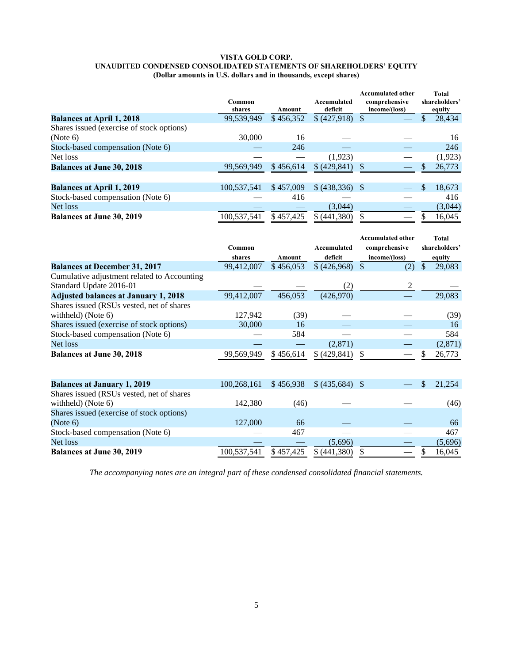#### **VISTA GOLD CORP. UNAUDITED CONDENSED CONSOLIDATED STATEMENTS OF SHAREHOLDERS' EQUITY (Dollar amounts in U.S. dollars and in thousands, except shares)**

|                                           | Common<br>shares | Amount    | Accumulated<br>deficit | <b>Accumulated other</b><br>comprehensive<br>income/(loss) | <b>Total</b><br>shareholders'<br>equity |
|-------------------------------------------|------------------|-----------|------------------------|------------------------------------------------------------|-----------------------------------------|
| <b>Balances at April 1, 2018</b>          | 99,539,949       | \$456,352 | \$ (427,918)           |                                                            | 28,434<br>\$                            |
| Shares issued (exercise of stock options) |                  |           |                        |                                                            |                                         |
| (Note 6)                                  | 30,000           | 16        |                        |                                                            | 16                                      |
| Stock-based compensation (Note 6)         |                  | 246       |                        |                                                            | 246                                     |
| Net loss                                  |                  |           | (1,923)                |                                                            | (1,923)                                 |
| <b>Balances at June 30, 2018</b>          | 99,569,949       | \$456.614 | \$ (429, 841)          |                                                            | 26,773                                  |
|                                           |                  |           |                        |                                                            |                                         |
| <b>Balances at April 1, 2019</b>          | 100,537,541      | \$457,009 | $$ (438,336)$ \,       |                                                            | S<br>18,673                             |
| Stock-based compensation (Note 6)         |                  | 416       |                        |                                                            | 416                                     |
| Net loss                                  |                  |           | (3,044)                |                                                            | (3,044)                                 |
| <b>Balances at June 30, 2019</b>          | 100.537.541      | \$457,425 | \$ (441.380)           |                                                            | 16.045                                  |

|                                             |             |           |                  | <b>Accumulated other</b> |               | <b>Total</b>  |
|---------------------------------------------|-------------|-----------|------------------|--------------------------|---------------|---------------|
|                                             | Common      |           | Accumulated      | comprehensive            |               | shareholders' |
|                                             | shares      | Amount    | deficit          | income/(loss)            |               | equity        |
| <b>Balances at December 31, 2017</b>        | 99,412,007  | \$456,053 | \$ (426,968)     | $\mathcal{S}$<br>(2)     | $\mathcal{S}$ | 29,083        |
| Cumulative adjustment related to Accounting |             |           |                  |                          |               |               |
| Standard Update 2016-01                     |             |           | (2)              | 2                        |               |               |
| <b>Adjusted balances at January 1, 2018</b> | 99,412,007  | 456,053   | (426,970)        |                          |               | 29,083        |
| Shares issued (RSUs vested, net of shares   |             |           |                  |                          |               |               |
| withheld) (Note 6)                          | 127,942     | (39)      |                  |                          |               | (39)          |
| Shares issued (exercise of stock options)   | 30,000      | 16        |                  |                          |               | 16            |
| Stock-based compensation (Note 6)           |             | 584       |                  |                          |               | 584           |
| Net loss                                    |             |           | (2,871)          |                          |               | (2,871)       |
| <b>Balances at June 30, 2018</b>            | 99,569,949  | \$456,614 | \$(429,841)      | \$.                      |               | 26,773        |
|                                             |             |           |                  |                          |               |               |
| <b>Balances at January 1, 2019</b>          | 100,268,161 | \$456,938 | $$ (435,684)$ \; |                          | S             | 21,254        |
| Shares issued (RSUs vested, net of shares   |             |           |                  |                          |               |               |
| withheld) (Note 6)                          | 142,380     | (46)      |                  |                          |               | (46)          |
| Shares issued (exercise of stock options)   |             |           |                  |                          |               |               |
| (Note 6)                                    | 127,000     | 66        |                  |                          |               | 66            |
| Stock-based compensation (Note 6)           |             | 467       |                  |                          |               | 467           |
| Net loss                                    |             |           | (5,696)          |                          |               | (5,696)       |
| <b>Balances at June 30, 2019</b>            | 100,537,541 | \$457,425 | \$(441,380)      | \$.                      | \$            | 16,045        |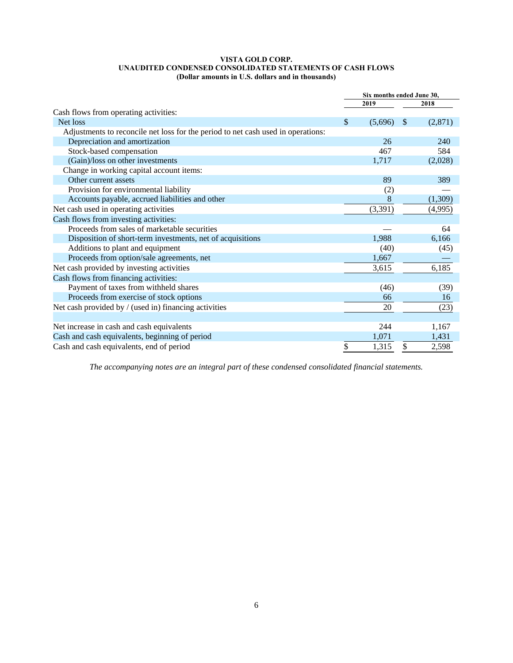## **VISTA GOLD CORP. UNAUDITED CONDENSED CONSOLIDATED STATEMENTS OF CASH FLOWS (Dollar amounts in U.S. dollars and in thousands)**

|                                                                                  | Six months ended June 30, |         |               |         |  |
|----------------------------------------------------------------------------------|---------------------------|---------|---------------|---------|--|
|                                                                                  |                           | 2019    |               | 2018    |  |
| Cash flows from operating activities:                                            |                           |         |               |         |  |
| Net loss                                                                         | \$                        | (5,696) | <sup>\$</sup> | (2,871) |  |
| Adjustments to reconcile net loss for the period to net cash used in operations: |                           |         |               |         |  |
| Depreciation and amortization                                                    |                           | 26      |               | 240     |  |
| Stock-based compensation                                                         |                           | 467     |               | 584     |  |
| (Gain)/loss on other investments                                                 |                           | 1,717   |               | (2,028) |  |
| Change in working capital account items:                                         |                           |         |               |         |  |
| Other current assets                                                             |                           | 89      |               | 389     |  |
| Provision for environmental liability                                            |                           | (2)     |               |         |  |
| Accounts payable, accrued liabilities and other                                  |                           | 8       |               | (1,309) |  |
| Net cash used in operating activities                                            |                           | (3,391) |               | (4,995) |  |
| Cash flows from investing activities:                                            |                           |         |               |         |  |
| Proceeds from sales of marketable securities                                     |                           |         |               | 64      |  |
| Disposition of short-term investments, net of acquisitions                       |                           | 1,988   |               | 6,166   |  |
| Additions to plant and equipment                                                 |                           | (40)    |               | (45)    |  |
| Proceeds from option/sale agreements, net                                        |                           | 1,667   |               |         |  |
| Net cash provided by investing activities                                        |                           | 3,615   |               | 6,185   |  |
| Cash flows from financing activities:                                            |                           |         |               |         |  |
| Payment of taxes from withheld shares                                            |                           | (46)    |               | (39)    |  |
| Proceeds from exercise of stock options                                          |                           | 66      |               | 16      |  |
| Net cash provided by / (used in) financing activities                            |                           | 20      |               | (23)    |  |
|                                                                                  |                           |         |               |         |  |
| Net increase in cash and cash equivalents                                        |                           | 244     |               | 1,167   |  |
| Cash and cash equivalents, beginning of period                                   |                           | 1,071   |               | 1,431   |  |
| Cash and cash equivalents, end of period                                         | \$                        | 1,315   | \$            | 2,598   |  |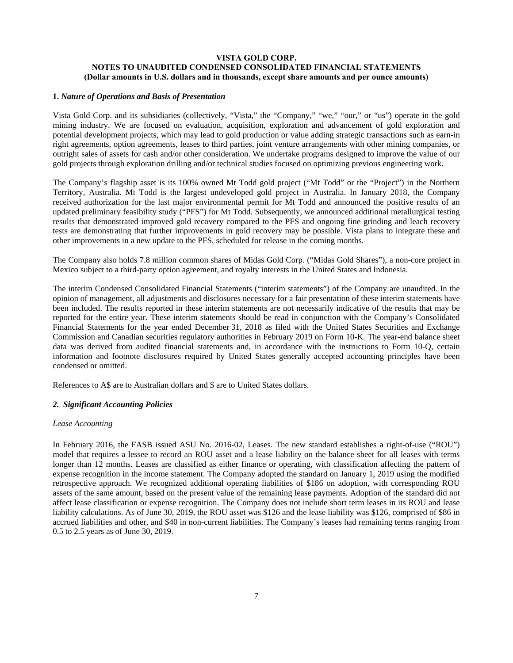## **VISTA GOLD CORP. NOTES TO UNAUDITED CONDENSED CONSOLIDATED FINANCIAL STATEMENTS (Dollar amounts in U.S. dollars and in thousands, except share amounts and per ounce amounts)**

## **1.** *Nature of Operations and Basis of Presentation*

Vista Gold Corp. and its subsidiaries (collectively, "Vista," the "Company," "we," "our," or "us") operate in the gold mining industry. We are focused on evaluation, acquisition, exploration and advancement of gold exploration and potential development projects, which may lead to gold production or value adding strategic transactions such as earn-in right agreements, option agreements, leases to third parties, joint venture arrangements with other mining companies, or outright sales of assets for cash and/or other consideration. We undertake programs designed to improve the value of our gold projects through exploration drilling and/or technical studies focused on optimizing previous engineering work.

The Company's flagship asset is its 100% owned Mt Todd gold project ("Mt Todd" or the "Project") in the Northern Territory, Australia. Mt Todd is the largest undeveloped gold project in Australia. In January 2018, the Company received authorization for the last major environmental permit for Mt Todd and announced the positive results of an updated preliminary feasibility study ("PFS") for Mt Todd. Subsequently, we announced additional metallurgical testing results that demonstrated improved gold recovery compared to the PFS and ongoing fine grinding and leach recovery tests are demonstrating that further improvements in gold recovery may be possible. Vista plans to integrate these and other improvements in a new update to the PFS, scheduled for release in the coming months.

The Company also holds 7.8 million common shares of Midas Gold Corp. ("Midas Gold Shares"), a non-core project in Mexico subject to a third-party option agreement, and royalty interests in the United States and Indonesia.

The interim Condensed Consolidated Financial Statements ("interim statements") of the Company are unaudited. In the opinion of management, all adjustments and disclosures necessary for a fair presentation of these interim statements have been included. The results reported in these interim statements are not necessarily indicative of the results that may be reported for the entire year. These interim statements should be read in conjunction with the Company's Consolidated Financial Statements for the year ended December 31, 2018 as filed with the United States Securities and Exchange Commission and Canadian securities regulatory authorities in February 2019 on Form 10-K. The year-end balance sheet data was derived from audited financial statements and, in accordance with the instructions to Form 10-Q, certain information and footnote disclosures required by United States generally accepted accounting principles have been condensed or omitted.

References to A\$ are to Australian dollars and \$ are to United States dollars.

#### *2. Significant Accounting Policies*

#### *Lease Accounting*

In February 2016, the FASB issued ASU No. 2016-02, Leases. The new standard establishes a right-of-use ("ROU") model that requires a lessee to record an ROU asset and a lease liability on the balance sheet for all leases with terms longer than 12 months. Leases are classified as either finance or operating, with classification affecting the pattern of expense recognition in the income statement. The Company adopted the standard on January 1, 2019 using the modified retrospective approach. We recognized additional operating liabilities of \$186 on adoption, with corresponding ROU assets of the same amount, based on the present value of the remaining lease payments. Adoption of the standard did not affect lease classification or expense recognition. The Company does not include short term leases in its ROU and lease liability calculations. As of June 30, 2019, the ROU asset was \$126 and the lease liability was \$126, comprised of \$86 in accrued liabilities and other, and \$40 in non-current liabilities. The Company's leases had remaining terms ranging from 0.5 to 2.5 years as of June 30, 2019.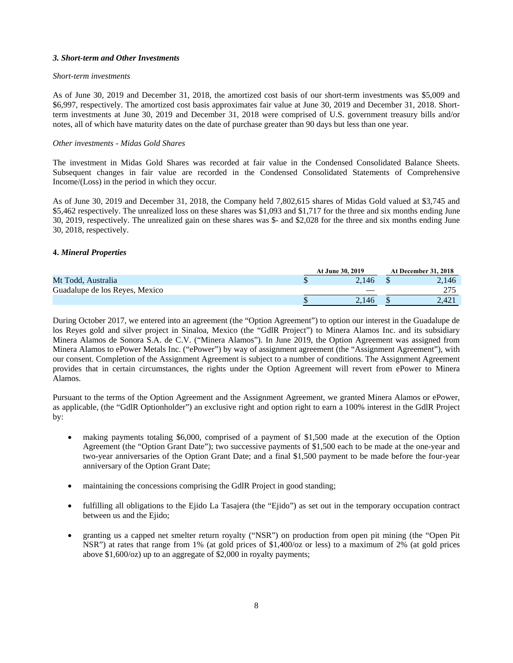#### *3. Short-term and Other Investments*

#### *Short-term investments*

As of June 30, 2019 and December 31, 2018, the amortized cost basis of our short-term investments was \$5,009 and \$6,997, respectively. The amortized cost basis approximates fair value at June 30, 2019 and December 31, 2018. Shortterm investments at June 30, 2019 and December 31, 2018 were comprised of U.S. government treasury bills and/or notes, all of which have maturity dates on the date of purchase greater than 90 days but less than one year.

## *Other investments - Midas Gold Shares*

The investment in Midas Gold Shares was recorded at fair value in the Condensed Consolidated Balance Sheets. Subsequent changes in fair value are recorded in the Condensed Consolidated Statements of Comprehensive Income/(Loss) in the period in which they occur.

As of June 30, 2019 and December 31, 2018, the Company held 7,802,615 shares of Midas Gold valued at \$3,745 and \$5,462 respectively. The unrealized loss on these shares was \$1,093 and \$1,717 for the three and six months ending June 30, 2019, respectively. The unrealized gain on these shares was \$- and \$2,028 for the three and six months ending June 30, 2018, respectively.

#### **4.** *Mineral Properties*

|                                | <b>At June 30, 2019</b> | <b>At December 31, 2018</b> |
|--------------------------------|-------------------------|-----------------------------|
| Mt Todd, Australia             | 2.146                   | 2.146                       |
| Guadalupe de los Reves, Mexico |                         |                             |
|                                | 2.146                   | 2.421                       |

During October 2017, we entered into an agreement (the "Option Agreement") to option our interest in the Guadalupe de los Reyes gold and silver project in Sinaloa, Mexico (the "GdlR Project") to Minera Alamos Inc. and its subsidiary Minera Alamos de Sonora S.A. de C.V. ("Minera Alamos"). In June 2019, the Option Agreement was assigned from Minera Alamos to ePower Metals Inc. ("ePower") by way of assignment agreement (the "Assignment Agreement"), with our consent. Completion of the Assignment Agreement is subject to a number of conditions. The Assignment Agreement provides that in certain circumstances, the rights under the Option Agreement will revert from ePower to Minera Alamos.

Pursuant to the terms of the Option Agreement and the Assignment Agreement, we granted Minera Alamos or ePower, as applicable, (the "GdlR Optionholder") an exclusive right and option right to earn a 100% interest in the GdlR Project by:

- making payments totaling \$6,000, comprised of a payment of \$1,500 made at the execution of the Option Agreement (the "Option Grant Date"); two successive payments of \$1,500 each to be made at the one-year and two-year anniversaries of the Option Grant Date; and a final \$1,500 payment to be made before the four-year anniversary of the Option Grant Date;
- maintaining the concessions comprising the GdlR Project in good standing;
- fulfilling all obligations to the Ejido La Tasajera (the "Ejido") as set out in the temporary occupation contract between us and the Ejido;
- granting us a capped net smelter return royalty ("NSR") on production from open pit mining (the "Open Pit NSR") at rates that range from 1% (at gold prices of \$1,400/oz or less) to a maximum of 2% (at gold prices above \$1,600/oz) up to an aggregate of \$2,000 in royalty payments;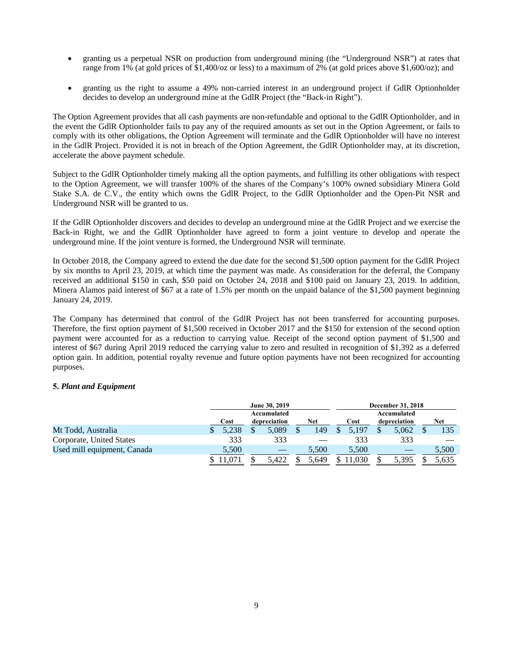- granting us a perpetual NSR on production from underground mining (the "Underground NSR") at rates that range from 1% (at gold prices of \$1,400/oz or less) to a maximum of 2% (at gold prices above \$1,600/oz); and
- granting us the right to assume a 49% non-carried interest in an underground project if GdlR Optionholder decides to develop an underground mine at the GdlR Project (the "Back-in Right").

The Option Agreement provides that all cash payments are non-refundable and optional to the GdlR Optionholder, and in the event the GdlR Optionholder fails to pay any of the required amounts as set out in the Option Agreement, or fails to comply with its other obligations, the Option Agreement will terminate and the GdlR Optionholder will have no interest in the GdlR Project. Provided it is not in breach of the Option Agreement, the GdlR Optionholder may, at its discretion, accelerate the above payment schedule.

Subject to the GdlR Optionholder timely making all the option payments, and fulfilling its other obligations with respect to the Option Agreement, we will transfer 100% of the shares of the Company's 100% owned subsidiary Minera Gold Stake S.A. de C.V., the entity which owns the GdlR Project, to the GdlR Optionholder and the Open-Pit NSR and Underground NSR will be granted to us.

If the GdlR Optionholder discovers and decides to develop an underground mine at the GdlR Project and we exercise the Back-in Right, we and the GdlR Optionholder have agreed to form a joint venture to develop and operate the underground mine. If the joint venture is formed, the Underground NSR will terminate.

In October 2018, the Company agreed to extend the due date for the second \$1,500 option payment for the GdlR Project by six months to April 23, 2019, at which time the payment was made. As consideration for the deferral, the Company received an additional \$150 in cash, \$50 paid on October 24, 2018 and \$100 paid on January 23, 2019. In addition, Minera Alamos paid interest of \$67 at a rate of 1.5% per month on the unpaid balance of the \$1,500 payment beginning January 24, 2019.

The Company has determined that control of the GdlR Project has not been transferred for accounting purposes. Therefore, the first option payment of \$1,500 received in October 2017 and the \$150 for extension of the second option payment were accounted for as a reduction to carrying value. Receipt of the second option payment of \$1,500 and interest of \$67 during April 2019 reduced the carrying value to zero and resulted in recognition of \$1,392 as a deferred option gain. In addition, potential royalty revenue and future option payments have not been recognized for accounting purposes.

## **5.** *Plant and Equipment*

|                             |       | June 30, 2019 |       | <b>December 31, 2018</b> |              |            |  |  |
|-----------------------------|-------|---------------|-------|--------------------------|--------------|------------|--|--|
|                             |       | Accumulated   |       |                          |              |            |  |  |
|                             | Cost  | depreciation  | Net   | Cost                     | depreciation | <b>Net</b> |  |  |
| Mt Todd, Australia          | 5.238 | 5.089         | 149   | 5.197                    | 5.062        | 135        |  |  |
| Corporate, United States    | 333   | 333           |       | 333                      | 333          |            |  |  |
| Used mill equipment, Canada | 5,500 |               | 5.500 | 5.500                    |              | 5,500      |  |  |
|                             |       | 5.422         | 5.649 | .030                     | 5.395        | 5.635      |  |  |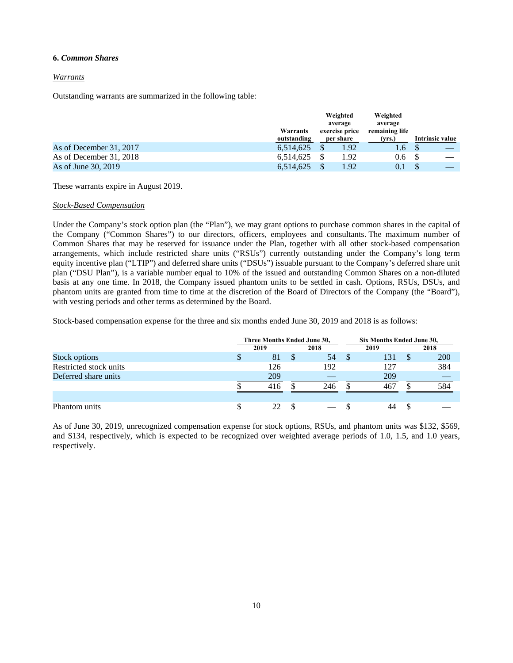#### **6.** *Common Shares*

## *Warrants*

Outstanding warrants are summarized in the following table:

|                         | Warrants<br>outstanding | Weighted<br>average<br>exercise price<br>per share | Weighted<br>average<br>remaining life<br>(vrs.) | Intrinsic value |
|-------------------------|-------------------------|----------------------------------------------------|-------------------------------------------------|-----------------|
| As of December 31, 2017 | 6,514,625               | 1.92                                               | 1.6                                             |                 |
| As of December 31, 2018 | 6,514,625               | 1.92                                               | 0.6                                             |                 |
| As of June 30, 2019     | 6.514.625               | 1.92                                               |                                                 |                 |

These warrants expire in August 2019.

## *Stock-Based Compensation*

Under the Company's stock option plan (the "Plan"), we may grant options to purchase common shares in the capital of the Company ("Common Shares") to our directors, officers, employees and consultants. The maximum number of Common Shares that may be reserved for issuance under the Plan, together with all other stock-based compensation arrangements, which include restricted share units ("RSUs") currently outstanding under the Company's long term equity incentive plan ("LTIP") and deferred share units ("DSUs") issuable pursuant to the Company's deferred share unit plan ("DSU Plan"), is a variable number equal to 10% of the issued and outstanding Common Shares on a non-diluted basis at any one time. In 2018, the Company issued phantom units to be settled in cash. Options, RSUs, DSUs, and phantom units are granted from time to time at the discretion of the Board of Directors of the Company (the "Board"), with vesting periods and other terms as determined by the Board.

Stock-based compensation expense for the three and six months ended June 30, 2019 and 2018 is as follows:

|                        |   | Three Months Ended June 30, |   |      |    | Six Months Ended June 30, |    |     |  |
|------------------------|---|-----------------------------|---|------|----|---------------------------|----|-----|--|
|                        |   | 2018<br>2019                |   | 2019 |    | 2018                      |    |     |  |
| Stock options          | D | 81                          | S | 54   | -S | 131                       | Ж, | 200 |  |
| Restricted stock units |   | 126                         |   | 192  |    | 127                       |    | 384 |  |
| Deferred share units   |   | 209                         |   |      |    | 209                       |    |     |  |
|                        |   | 416                         |   | 246  |    | 467                       |    | 584 |  |
|                        |   |                             |   |      |    |                           |    |     |  |
| Phantom units          | S | 22.                         |   |      |    | 44                        |    |     |  |

As of June 30, 2019, unrecognized compensation expense for stock options, RSUs, and phantom units was \$132, \$569, and \$134, respectively, which is expected to be recognized over weighted average periods of 1.0, 1.5, and 1.0 years, respectively.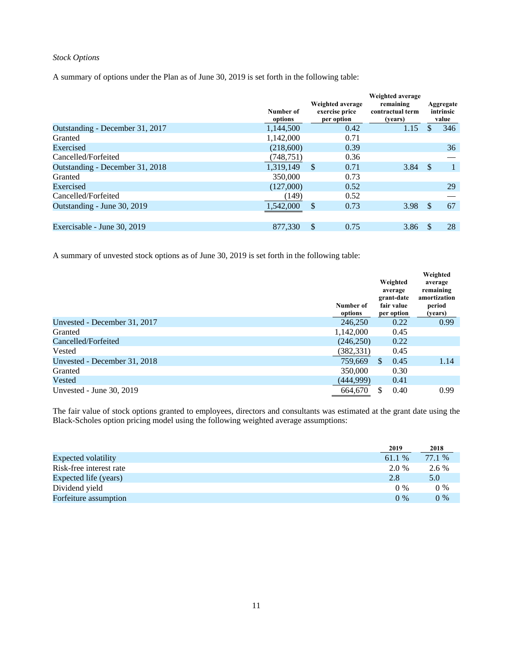## *Stock Options*

A summary of options under the Plan as of June 30, 2019 is set forth in the following table:

|                                 | Number of<br>options | Weighted average<br>exercise price<br>per option | Weighted average<br>remaining<br>contractual term<br>(years) |     | Aggregate<br>intrinsic<br>value |
|---------------------------------|----------------------|--------------------------------------------------|--------------------------------------------------------------|-----|---------------------------------|
| Outstanding - December 31, 2017 | 1.144.500            | 0.42                                             | 1.15                                                         |     | 346                             |
| Granted                         | 1,142,000            | 0.71                                             |                                                              |     |                                 |
| Exercised                       | (218,600)            | 0.39                                             |                                                              |     | 36                              |
| Cancelled/Forfeited             | (748, 751)           | 0.36                                             |                                                              |     |                                 |
| Outstanding - December 31, 2018 | 1.319.149            | <sup>\$</sup><br>0.71                            | $3.84$ \$                                                    |     |                                 |
| Granted                         | 350,000              | 0.73                                             |                                                              |     |                                 |
| Exercised                       | (127,000)            | 0.52                                             |                                                              |     | 29                              |
| Cancelled/Forfeited             | (149)                | 0.52                                             |                                                              |     |                                 |
| Outstanding - June 30, 2019     | 1,542,000            | \$<br>0.73                                       | 3.98                                                         | \$. | 67                              |
| Exercisable - June 30, 2019     | 877.330              | \$<br>0.75                                       | 3.86                                                         |     | 28                              |

A summary of unvested stock options as of June 30, 2019 is set forth in the following table:

|                              | Number of<br>options | Weighted<br>average<br>grant-date<br>fair value<br>per option | Weighted<br>average<br>remaining<br>amortization<br>period<br>(years) |
|------------------------------|----------------------|---------------------------------------------------------------|-----------------------------------------------------------------------|
| Unvested - December 31, 2017 | 246,250              | 0.22                                                          | 0.99                                                                  |
| Granted                      | 1,142,000            | 0.45                                                          |                                                                       |
| Cancelled/Forfeited          | (246,250)            | 0.22                                                          |                                                                       |
| Vested                       | (382, 331)           | 0.45                                                          |                                                                       |
| Unvested - December 31, 2018 | 759,669              | \$<br>0.45                                                    | 1.14                                                                  |
| Granted                      | 350,000              | 0.30                                                          |                                                                       |
| Vested                       | (444,999)            | 0.41                                                          |                                                                       |
| Unvested - June 30, 2019     | 664,670              | S<br>0.40                                                     | 0.99                                                                  |

The fair value of stock options granted to employees, directors and consultants was estimated at the grant date using the Black-Scholes option pricing model using the following weighted average assumptions:

|                         | 2019   | 2018    |
|-------------------------|--------|---------|
| Expected volatility     | 61.1 % | 77.1 %  |
| Risk-free interest rate | 2.0 %  | $2.6\%$ |
| Expected life (years)   | 2.8    | 5.0     |
| Dividend yield          | $0\%$  | $0\%$   |
| Forfeiture assumption   | $0\%$  | $0\%$   |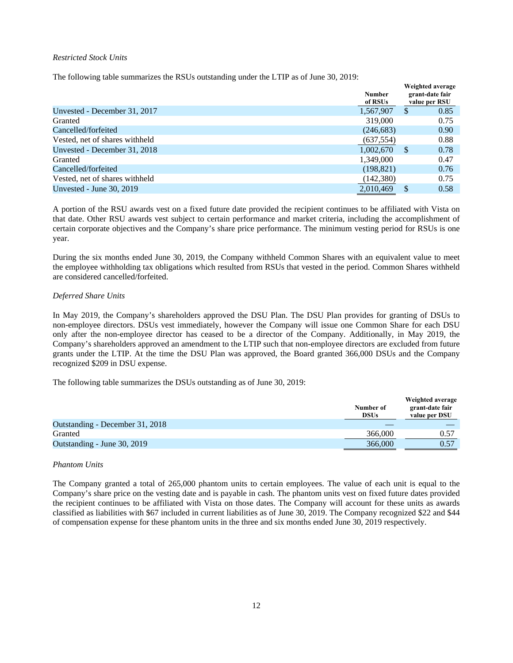## *Restricted Stock Units*

The following table summarizes the RSUs outstanding under the LTIP as of June 30, 2019:

|                                | <b>Number</b><br>of RSUs |          | Weighted average<br>grant-date fair<br>value per RSU |
|--------------------------------|--------------------------|----------|------------------------------------------------------|
| Unvested - December 31, 2017   | 1,567,907                | \$       | 0.85                                                 |
| Granted                        | 319,000                  |          | 0.75                                                 |
| Cancelled/forfeited            | (246, 683)               |          | 0.90                                                 |
| Vested, net of shares withheld | (637, 554)               |          | 0.88                                                 |
| Unvested - December 31, 2018   | 1,002,670                | <b>S</b> | 0.78                                                 |
| Granted                        | 1,349,000                |          | 0.47                                                 |
| Cancelled/forfeited            | (198, 821)               |          | 0.76                                                 |
| Vested, net of shares withheld | (142, 380)               |          | 0.75                                                 |
| Unvested - June 30, 2019       | 2,010,469                | S        | 0.58                                                 |

A portion of the RSU awards vest on a fixed future date provided the recipient continues to be affiliated with Vista on that date. Other RSU awards vest subject to certain performance and market criteria, including the accomplishment of certain corporate objectives and the Company's share price performance. The minimum vesting period for RSUs is one year.

During the six months ended June 30, 2019, the Company withheld Common Shares with an equivalent value to meet the employee withholding tax obligations which resulted from RSUs that vested in the period. Common Shares withheld are considered cancelled/forfeited.

#### *Deferred Share Units*

In May 2019, the Company's shareholders approved the DSU Plan. The DSU Plan provides for granting of DSUs to non-employee directors. DSUs vest immediately, however the Company will issue one Common Share for each DSU only after the non-employee director has ceased to be a director of the Company. Additionally, in May 2019, the Company's shareholders approved an amendment to the LTIP such that non-employee directors are excluded from future grants under the LTIP. At the time the DSU Plan was approved, the Board granted 366,000 DSUs and the Company recognized \$209 in DSU expense.

The following table summarizes the DSUs outstanding as of June 30, 2019:

|                                 | Number of<br><b>DSUs</b> | Weighted average<br>grant-date fair<br>value per DSU |
|---------------------------------|--------------------------|------------------------------------------------------|
| Outstanding - December 31, 2018 |                          |                                                      |
| Granted                         | 366,000                  | 0.57                                                 |
| Outstanding - June 30, 2019     | 366,000                  | 0.57                                                 |

#### *Phantom Units*

The Company granted a total of 265,000 phantom units to certain employees. The value of each unit is equal to the Company's share price on the vesting date and is payable in cash. The phantom units vest on fixed future dates provided the recipient continues to be affiliated with Vista on those dates. The Company will account for these units as awards classified as liabilities with \$67 included in current liabilities as of June 30, 2019. The Company recognized \$22 and \$44 of compensation expense for these phantom units in the three and six months ended June 30, 2019 respectively.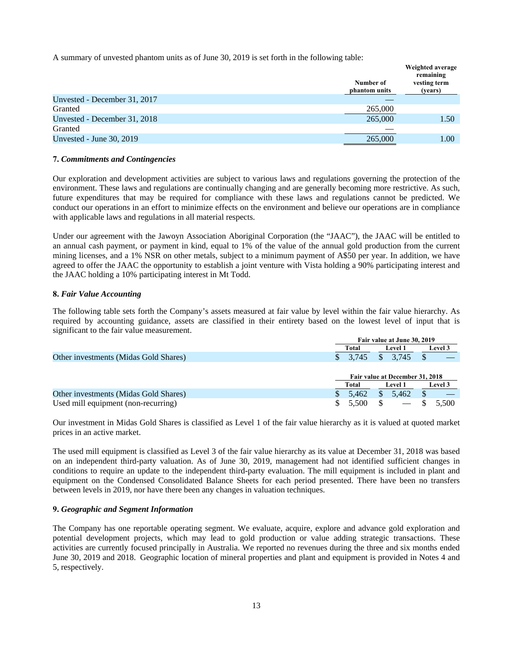A summary of unvested phantom units as of June 30, 2019 is set forth in the following table:

|                              | Number of<br>phantom units | weighted average<br>remaining<br>vesting term<br>(years) |
|------------------------------|----------------------------|----------------------------------------------------------|
| Unvested - December 31, 2017 |                            |                                                          |
| Granted                      | 265,000                    |                                                          |
| Unvested - December 31, 2018 | 265,000                    | 1.50                                                     |
| Granted                      |                            |                                                          |
| Unvested - June 30, 2019     | 265,000                    | 1.00                                                     |
|                              |                            |                                                          |

 **Weighted average**

#### **7.** *Commitments and Contingencies*

Our exploration and development activities are subject to various laws and regulations governing the protection of the environment. These laws and regulations are continually changing and are generally becoming more restrictive. As such, future expenditures that may be required for compliance with these laws and regulations cannot be predicted. We conduct our operations in an effort to minimize effects on the environment and believe our operations are in compliance with applicable laws and regulations in all material respects.

Under our agreement with the Jawoyn Association Aboriginal Corporation (the "JAAC"), the JAAC will be entitled to an annual cash payment, or payment in kind, equal to 1% of the value of the annual gold production from the current mining licenses, and a 1% NSR on other metals, subject to a minimum payment of A\$50 per year. In addition, we have agreed to offer the JAAC the opportunity to establish a joint venture with Vista holding a 90% participating interest and the JAAC holding a 10% participating interest in Mt Todd.

#### **8.** *Fair Value Accounting*

The following table sets forth the Company's assets measured at fair value by level within the fair value hierarchy. As required by accounting guidance, assets are classified in their entirety based on the lowest level of input that is significant to the fair value measurement.

|                                       |             | Fair value at June 30, 2019     |                |  |  |
|---------------------------------------|-------------|---------------------------------|----------------|--|--|
|                                       | Total       | <b>Level 1</b>                  | <b>Level 3</b> |  |  |
| Other investments (Midas Gold Shares) | 3.745       | \$<br>3.745                     |                |  |  |
|                                       |             |                                 |                |  |  |
|                                       |             | Fair value at December 31, 2018 |                |  |  |
|                                       | Total       | <b>Level 1</b>                  | <b>Level</b> 3 |  |  |
| Other investments (Midas Gold Shares) | 5.462       | \$<br>5.462                     |                |  |  |
| Used mill equipment (non-recurring)   | S.<br>5.500 | \$<br>$\hspace{0.05cm}$         | 5.500          |  |  |

Our investment in Midas Gold Shares is classified as Level 1 of the fair value hierarchy as it is valued at quoted market prices in an active market.

The used mill equipment is classified as Level 3 of the fair value hierarchy as its value at December 31, 2018 was based on an independent third-party valuation. As of June 30, 2019, management had not identified sufficient changes in conditions to require an update to the independent third-party evaluation. The mill equipment is included in plant and equipment on the Condensed Consolidated Balance Sheets for each period presented. There have been no transfers between levels in 2019, nor have there been any changes in valuation techniques.

#### **9.** *Geographic and Segment Information*

The Company has one reportable operating segment. We evaluate, acquire, explore and advance gold exploration and potential development projects, which may lead to gold production or value adding strategic transactions. These activities are currently focused principally in Australia. We reported no revenues during the three and six months ended June 30, 2019 and 2018. Geographic location of mineral properties and plant and equipment is provided in Notes 4 and 5, respectively.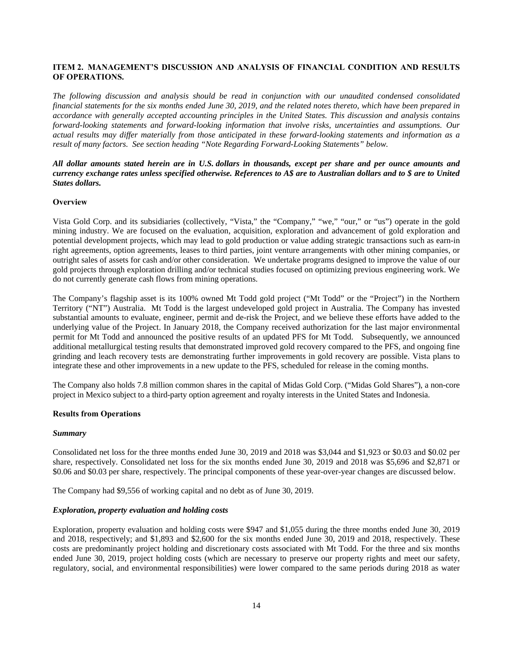## **ITEM 2. MANAGEMENT'S DISCUSSION AND ANALYSIS OF FINANCIAL CONDITION AND RESULTS OF OPERATIONS.**

*The following discussion and analysis should be read in conjunction with our unaudited condensed consolidated financial statements for the six months ended June 30, 2019, and the related notes thereto, which have been prepared in accordance with generally accepted accounting principles in the United States. This discussion and analysis contains forward-looking statements and forward-looking information that involve risks, uncertainties and assumptions. Our actual results may differ materially from those anticipated in these forward-looking statements and information as a result of many factors. See section heading "Note Regarding Forward-Looking Statements" below.*

## *All dollar amounts stated herein are in U.S. dollars in thousands, except per share and per ounce amounts and currency exchange rates unless specified otherwise. References to A\$ are to Australian dollars and to \$ are to United States dollars.*

## **Overview**

Vista Gold Corp. and its subsidiaries (collectively, "Vista," the "Company," "we," "our," or "us") operate in the gold mining industry. We are focused on the evaluation, acquisition, exploration and advancement of gold exploration and potential development projects, which may lead to gold production or value adding strategic transactions such as earn-in right agreements, option agreements, leases to third parties, joint venture arrangements with other mining companies, or outright sales of assets for cash and/or other consideration. We undertake programs designed to improve the value of our gold projects through exploration drilling and/or technical studies focused on optimizing previous engineering work. We do not currently generate cash flows from mining operations.

The Company's flagship asset is its 100% owned Mt Todd gold project ("Mt Todd" or the "Project") in the Northern Territory ("NT") Australia. Mt Todd is the largest undeveloped gold project in Australia. The Company has invested substantial amounts to evaluate, engineer, permit and de-risk the Project, and we believe these efforts have added to the underlying value of the Project. In January 2018, the Company received authorization for the last major environmental permit for Mt Todd and announced the positive results of an updated PFS for Mt Todd. Subsequently, we announced additional metallurgical testing results that demonstrated improved gold recovery compared to the PFS, and ongoing fine grinding and leach recovery tests are demonstrating further improvements in gold recovery are possible. Vista plans to integrate these and other improvements in a new update to the PFS, scheduled for release in the coming months.

The Company also holds 7.8 million common shares in the capital of Midas Gold Corp. ("Midas Gold Shares"), a non-core project in Mexico subject to a third-party option agreement and royalty interests in the United States and Indonesia.

## **Results from Operations**

#### *Summary*

Consolidated net loss for the three months ended June 30, 2019 and 2018 was \$3,044 and \$1,923 or \$0.03 and \$0.02 per share, respectively. Consolidated net loss for the six months ended June 30, 2019 and 2018 was \$5,696 and \$2,871 or \$0.06 and \$0.03 per share, respectively. The principal components of these year-over-year changes are discussed below.

The Company had \$9,556 of working capital and no debt as of June 30, 2019.

#### *Exploration, property evaluation and holding costs*

Exploration, property evaluation and holding costs were \$947 and \$1,055 during the three months ended June 30, 2019 and 2018, respectively; and \$1,893 and \$2,600 for the six months ended June 30, 2019 and 2018, respectively. These costs are predominantly project holding and discretionary costs associated with Mt Todd. For the three and six months ended June 30, 2019, project holding costs (which are necessary to preserve our property rights and meet our safety, regulatory, social, and environmental responsibilities) were lower compared to the same periods during 2018 as water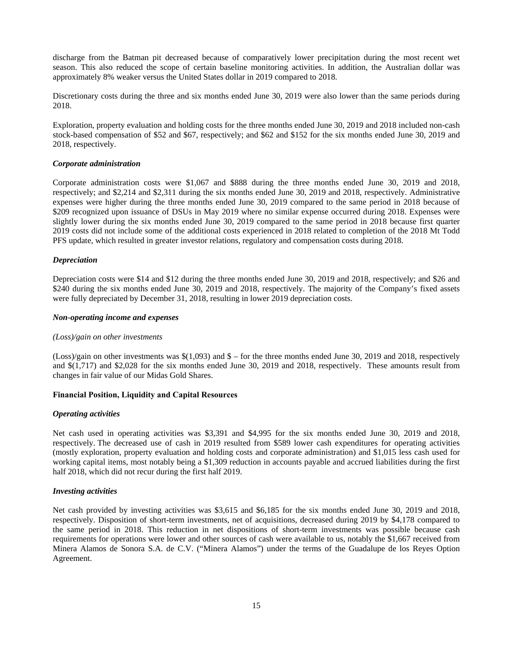discharge from the Batman pit decreased because of comparatively lower precipitation during the most recent wet season. This also reduced the scope of certain baseline monitoring activities. In addition, the Australian dollar was approximately 8% weaker versus the United States dollar in 2019 compared to 2018.

Discretionary costs during the three and six months ended June 30, 2019 were also lower than the same periods during 2018.

Exploration, property evaluation and holding costs for the three months ended June 30, 2019 and 2018 included non-cash stock-based compensation of \$52 and \$67, respectively; and \$62 and \$152 for the six months ended June 30, 2019 and 2018, respectively.

#### *Corporate administration*

Corporate administration costs were \$1,067 and \$888 during the three months ended June 30, 2019 and 2018, respectively; and \$2,214 and \$2,311 during the six months ended June 30, 2019 and 2018, respectively. Administrative expenses were higher during the three months ended June 30, 2019 compared to the same period in 2018 because of \$209 recognized upon issuance of DSUs in May 2019 where no similar expense occurred during 2018. Expenses were slightly lower during the six months ended June 30, 2019 compared to the same period in 2018 because first quarter 2019 costs did not include some of the additional costs experienced in 2018 related to completion of the 2018 Mt Todd PFS update, which resulted in greater investor relations, regulatory and compensation costs during 2018.

#### *Depreciation*

Depreciation costs were \$14 and \$12 during the three months ended June 30, 2019 and 2018, respectively; and \$26 and \$240 during the six months ended June 30, 2019 and 2018, respectively. The majority of the Company's fixed assets were fully depreciated by December 31, 2018, resulting in lower 2019 depreciation costs.

#### *Non-operating income and expenses*

#### *(Loss)/gain on other investments*

(Loss)/gain on other investments was \$(1,093) and \$ – for the three months ended June 30, 2019 and 2018, respectively and \$(1,717) and \$2,028 for the six months ended June 30, 2019 and 2018, respectively. These amounts result from changes in fair value of our Midas Gold Shares.

#### **Financial Position, Liquidity and Capital Resources**

#### *Operating activities*

Net cash used in operating activities was \$3,391 and \$4,995 for the six months ended June 30, 2019 and 2018, respectively. The decreased use of cash in 2019 resulted from \$589 lower cash expenditures for operating activities (mostly exploration, property evaluation and holding costs and corporate administration) and \$1,015 less cash used for working capital items, most notably being a \$1,309 reduction in accounts payable and accrued liabilities during the first half 2018, which did not recur during the first half 2019.

#### *Investing activities*

Net cash provided by investing activities was \$3,615 and \$6,185 for the six months ended June 30, 2019 and 2018, respectively. Disposition of short-term investments, net of acquisitions, decreased during 2019 by \$4,178 compared to the same period in 2018. This reduction in net dispositions of short-term investments was possible because cash requirements for operations were lower and other sources of cash were available to us, notably the \$1,667 received from Minera Alamos de Sonora S.A. de C.V. ("Minera Alamos") under the terms of the Guadalupe de los Reyes Option Agreement.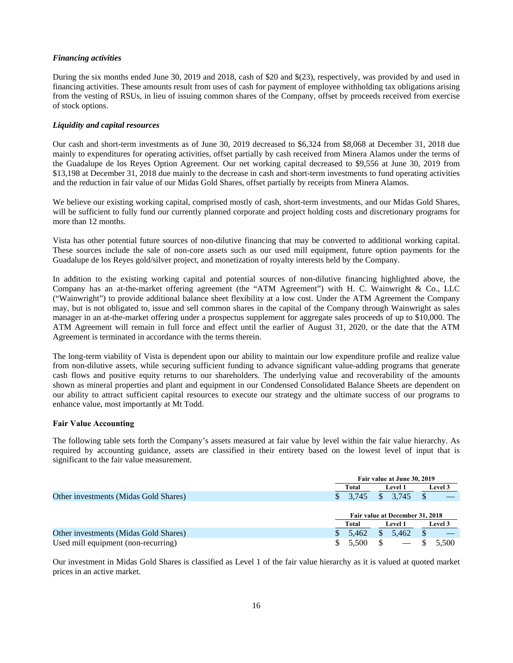#### *Financing activities*

During the six months ended June 30, 2019 and 2018, cash of \$20 and \$(23), respectively, was provided by and used in financing activities. These amounts result from uses of cash for payment of employee withholding tax obligations arising from the vesting of RSUs, in lieu of issuing common shares of the Company, offset by proceeds received from exercise of stock options.

## *Liquidity and capital resources*

Our cash and short-term investments as of June 30, 2019 decreased to \$6,324 from \$8,068 at December 31, 2018 due mainly to expenditures for operating activities, offset partially by cash received from Minera Alamos under the terms of the Guadalupe de los Reyes Option Agreement. Our net working capital decreased to \$9,556 at June 30, 2019 from \$13,198 at December 31, 2018 due mainly to the decrease in cash and short-term investments to fund operating activities and the reduction in fair value of our Midas Gold Shares, offset partially by receipts from Minera Alamos.

We believe our existing working capital, comprised mostly of cash, short-term investments, and our Midas Gold Shares, will be sufficient to fully fund our currently planned corporate and project holding costs and discretionary programs for more than 12 months.

Vista has other potential future sources of non-dilutive financing that may be converted to additional working capital. These sources include the sale of non-core assets such as our used mill equipment, future option payments for the Guadalupe de los Reyes gold/silver project, and monetization of royalty interests held by the Company.

In addition to the existing working capital and potential sources of non-dilutive financing highlighted above, the Company has an at-the-market offering agreement (the "ATM Agreement") with H. C. Wainwright & Co., LLC ("Wainwright") to provide additional balance sheet flexibility at a low cost. Under the ATM Agreement the Company may, but is not obligated to, issue and sell common shares in the capital of the Company through Wainwright as sales manager in an at-the-market offering under a prospectus supplement for aggregate sales proceeds of up to \$10,000. The ATM Agreement will remain in full force and effect until the earlier of August 31, 2020, or the date that the ATM Agreement is terminated in accordance with the terms therein.

The long-term viability of Vista is dependent upon our ability to maintain our low expenditure profile and realize value from non-dilutive assets, while securing sufficient funding to advance significant value-adding programs that generate cash flows and positive equity returns to our shareholders. The underlying value and recoverability of the amounts shown as mineral properties and plant and equipment in our Condensed Consolidated Balance Sheets are dependent on our ability to attract sufficient capital resources to execute our strategy and the ultimate success of our programs to enhance value, most importantly at Mt Todd.

## **Fair Value Accounting**

The following table sets forth the Company's assets measured at fair value by level within the fair value hierarchy. As required by accounting guidance, assets are classified in their entirety based on the lowest level of input that is significant to the fair value measurement.

|                                       |              | Fair value at June 30, 2019     |         |  |  |
|---------------------------------------|--------------|---------------------------------|---------|--|--|
|                                       | Total        | <b>Level 1</b>                  | Level 3 |  |  |
| Other investments (Midas Gold Shares) | 3.745        | \$.<br>3.745                    |         |  |  |
|                                       |              | Fair value at December 31, 2018 |         |  |  |
|                                       | Total        | <b>Level 1</b>                  | Level 3 |  |  |
| Other investments (Midas Gold Shares) | 5.462<br>\$. | 5.462<br>S                      | D       |  |  |
| Used mill equipment (non-recurring)   | S<br>5.500   | $\overline{\phantom{a}}$        | 5.500   |  |  |

Our investment in Midas Gold Shares is classified as Level 1 of the fair value hierarchy as it is valued at quoted market prices in an active market.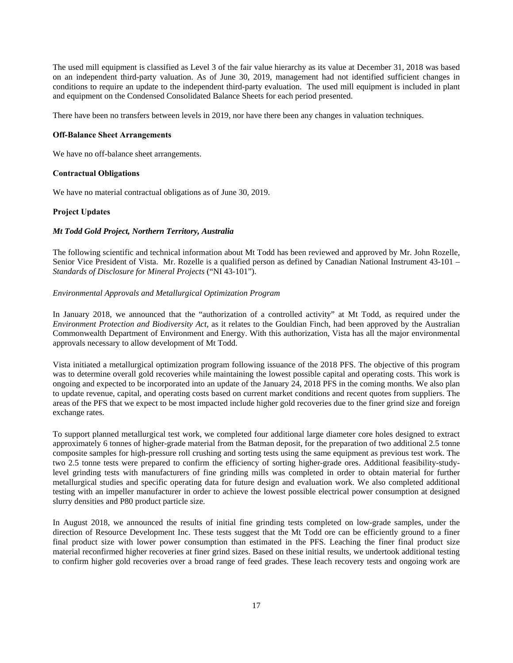The used mill equipment is classified as Level 3 of the fair value hierarchy as its value at December 31, 2018 was based on an independent third-party valuation. As of June 30, 2019, management had not identified sufficient changes in conditions to require an update to the independent third-party evaluation. The used mill equipment is included in plant and equipment on the Condensed Consolidated Balance Sheets for each period presented.

There have been no transfers between levels in 2019, nor have there been any changes in valuation techniques.

#### **Off-Balance Sheet Arrangements**

We have no off-balance sheet arrangements.

#### **Contractual Obligations**

We have no material contractual obligations as of June 30, 2019.

#### **Project Updates**

#### *Mt Todd Gold Project, Northern Territory, Australia*

The following scientific and technical information about Mt Todd has been reviewed and approved by Mr. John Rozelle, Senior Vice President of Vista. Mr. Rozelle is a qualified person as defined by Canadian National Instrument 43-101 – *Standards of Disclosure for Mineral Projects* ("NI 43-101").

#### *Environmental Approvals and Metallurgical Optimization Program*

In January 2018, we announced that the "authorization of a controlled activity" at Mt Todd, as required under the *Environment Protection and Biodiversity Act*, as it relates to the Gouldian Finch, had been approved by the Australian Commonwealth Department of Environment and Energy. With this authorization, Vista has all the major environmental approvals necessary to allow development of Mt Todd.

Vista initiated a metallurgical optimization program following issuance of the 2018 PFS. The objective of this program was to determine overall gold recoveries while maintaining the lowest possible capital and operating costs. This work is ongoing and expected to be incorporated into an update of the January 24, 2018 PFS in the coming months. We also plan to update revenue, capital, and operating costs based on current market conditions and recent quotes from suppliers. The areas of the PFS that we expect to be most impacted include higher gold recoveries due to the finer grind size and foreign exchange rates.

To support planned metallurgical test work, we completed four additional large diameter core holes designed to extract approximately 6 tonnes of higher-grade material from the Batman deposit, for the preparation of two additional 2.5 tonne composite samples for high-pressure roll crushing and sorting tests using the same equipment as previous test work. The two 2.5 tonne tests were prepared to confirm the efficiency of sorting higher-grade ores. Additional feasibility-studylevel grinding tests with manufacturers of fine grinding mills was completed in order to obtain material for further metallurgical studies and specific operating data for future design and evaluation work. We also completed additional testing with an impeller manufacturer in order to achieve the lowest possible electrical power consumption at designed slurry densities and P80 product particle size.

In August 2018, we announced the results of initial fine grinding tests completed on low-grade samples, under the direction of Resource Development Inc. These tests suggest that the Mt Todd ore can be efficiently ground to a finer final product size with lower power consumption than estimated in the PFS. Leaching the finer final product size material reconfirmed higher recoveries at finer grind sizes. Based on these initial results, we undertook additional testing to confirm higher gold recoveries over a broad range of feed grades. These leach recovery tests and ongoing work are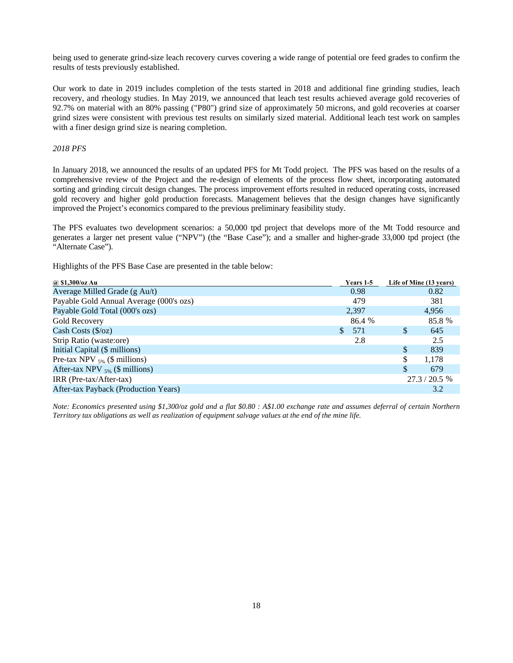being used to generate grind-size leach recovery curves covering a wide range of potential ore feed grades to confirm the results of tests previously established.

Our work to date in 2019 includes completion of the tests started in 2018 and additional fine grinding studies, leach recovery, and rheology studies. In May 2019, we announced that leach test results achieved average gold recoveries of 92.7% on material with an 80% passing ("P80") grind size of approximately 50 microns, and gold recoveries at coarser grind sizes were consistent with previous test results on similarly sized material. Additional leach test work on samples with a finer design grind size is nearing completion.

*2018 PFS* 

In January 2018, we announced the results of an updated PFS for Mt Todd project. The PFS was based on the results of a comprehensive review of the Project and the re-design of elements of the process flow sheet, incorporating automated sorting and grinding circuit design changes. The process improvement efforts resulted in reduced operating costs, increased gold recovery and higher gold production forecasts. Management believes that the design changes have significantly improved the Project's economics compared to the previous preliminary feasibility study.

The PFS evaluates two development scenarios: a 50,000 tpd project that develops more of the Mt Todd resource and generates a larger net present value ("NPV") (the "Base Case"); and a smaller and higher-grade 33,000 tpd project (the "Alternate Case").

Highlights of the PFS Base Case are presented in the table below:

| $(a)$ \$1,300/oz Au                     | Years 1-5             | Life of Mine (13 years) |
|-----------------------------------------|-----------------------|-------------------------|
| Average Milled Grade (g Au/t)           | 0.98                  | 0.82                    |
| Payable Gold Annual Average (000's ozs) | 479                   | 381                     |
| Payable Gold Total (000's ozs)          | 2,397                 | 4,956                   |
| Gold Recovery                           | 86.4 %                | 85.8 %                  |
| Cash Costs $(\frac{6}{2})$              | 571<br>$\mathbb{S}^-$ | \$.<br>645              |
| Strip Ratio (waste:ore)                 | 2.8                   | 2.5                     |
| Initial Capital (\$ millions)           |                       | \$<br>839               |
| Pre-tax NPV $_{5\%}$ (\$ millions)      |                       | 1.178<br>\$             |
| After-tax NPV $_{5\%}$ (\$ millions)    |                       | 679                     |
| $IRR (Pre-tax/After-tax)$               |                       | 27.3 / 20.5 %           |
| After-tax Payback (Production Years)    |                       | 3.2                     |
|                                         |                       |                         |

*Note: Economics presented using \$1,300/oz gold and a flat \$0.80 : A\$1.00 exchange rate and assumes deferral of certain Northern Territory tax obligations as well as realization of equipment salvage values at the end of the mine life.*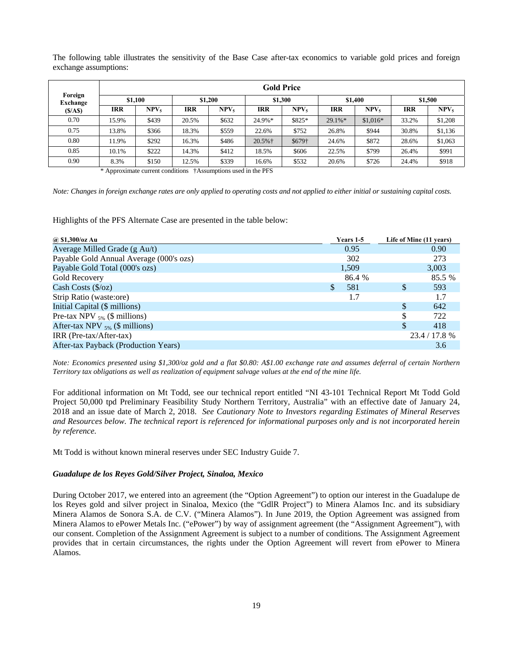The following table illustrates the sensitivity of the Base Case after-tax economics to variable gold prices and foreign exchange assumptions:

|                     |            |                  |       |                  |            | <b>Gold Price</b> |            |                  |            |                  |
|---------------------|------------|------------------|-------|------------------|------------|-------------------|------------|------------------|------------|------------------|
| Foreign<br>Exchange |            | \$1.100          |       | \$1,200          |            | \$1.300           |            | \$1,400          |            | \$1,500          |
| (S/AS)              | <b>IRR</b> | NPV <sub>5</sub> | IRR   | NPV <sub>5</sub> | <b>IRR</b> | NPV <sub>5</sub>  | IRR        | NPV <sub>5</sub> | <b>IRR</b> | NPV <sub>5</sub> |
| 0.70                | 15.9%      | \$439            | 20.5% | \$632            | 24.9%*     | \$825*            | $29.1\%$ * | $$1,016*$        | 33.2%      | \$1,208          |
| 0.75                | 13.8%      | \$366            | 18.3% | \$559            | 22.6%      | \$752             | 26.8%      | \$944            | 30.8%      | \$1,136          |
| 0.80                | 11.9%      | \$292            | 16.3% | \$486            | 20.5%+     | \$679†            | 24.6%      | \$872            | 28.6%      | \$1,063          |
| 0.85                | 10.1%      | \$222            | 14.3% | \$412            | 18.5%      | \$606             | 22.5%      | \$799            | 26.4%      | \$991            |
| 0.90                | 8.3%       | \$150            | 12.5% | \$339            | 16.6%      | \$532             | 20.6%      | \$726            | 24.4%      | \$918            |

\* Approximate current conditions †Assumptions used in the PFS

*Note: Changes in foreign exchange rates are only applied to operating costs and not applied to either initial or sustaining capital costs.* 

Highlights of the PFS Alternate Case are presented in the table below:

| @ \$1,300/oz Au                         |   | Years 1-5 |    | Life of Mine (11 years) |
|-----------------------------------------|---|-----------|----|-------------------------|
| Average Milled Grade (g Au/t)           |   | 0.95      |    | 0.90                    |
| Payable Gold Annual Average (000's ozs) |   | 302       |    | 273                     |
| Payable Gold Total (000's ozs)          |   | 1,509     |    | 3,003                   |
| Gold Recovery                           |   | 86.4 %    |    | 85.5 %                  |
| Cash Costs $(\frac{5}{oz})$             | S | 581       | \$ | 593                     |
| Strip Ratio (waste:ore)                 |   | 1.7       |    | 1.7                     |
| Initial Capital (\$ millions)           |   |           | \$ | 642                     |
| Pre-tax NPV $_{5\%}$ (\$ millions)      |   |           | S  | 722                     |
| After-tax NPV $_{5\%}$ (\$ millions)    |   |           | \$ | 418                     |
| $IRR (Pre-tax/After-tax)$               |   |           |    | 23.4 / 17.8 %           |
| After-tax Payback (Production Years)    |   |           |    | 3.6                     |

*Note: Economics presented using \$1,300/oz gold and a flat \$0.80: A\$1.00 exchange rate and assumes deferral of certain Northern Territory tax obligations as well as realization of equipment salvage values at the end of the mine life.* 

For additional information on Mt Todd, see our technical report entitled "NI 43-101 Technical Report Mt Todd Gold Project 50,000 tpd Preliminary Feasibility Study Northern Territory, Australia" with an effective date of January 24, 2018 and an issue date of March 2, 2018. *See Cautionary Note to Investors regarding Estimates of Mineral Reserves and Resources below. The technical report is referenced for informational purposes only and is not incorporated herein by reference.*

Mt Todd is without known mineral reserves under SEC Industry Guide 7.

### *Guadalupe de los Reyes Gold/Silver Project, Sinaloa, Mexico*

During October 2017, we entered into an agreement (the "Option Agreement") to option our interest in the Guadalupe de los Reyes gold and silver project in Sinaloa, Mexico (the "GdlR Project") to Minera Alamos Inc. and its subsidiary Minera Alamos de Sonora S.A. de C.V. ("Minera Alamos"). In June 2019, the Option Agreement was assigned from Minera Alamos to ePower Metals Inc. ("ePower") by way of assignment agreement (the "Assignment Agreement"), with our consent. Completion of the Assignment Agreement is subject to a number of conditions. The Assignment Agreement provides that in certain circumstances, the rights under the Option Agreement will revert from ePower to Minera Alamos.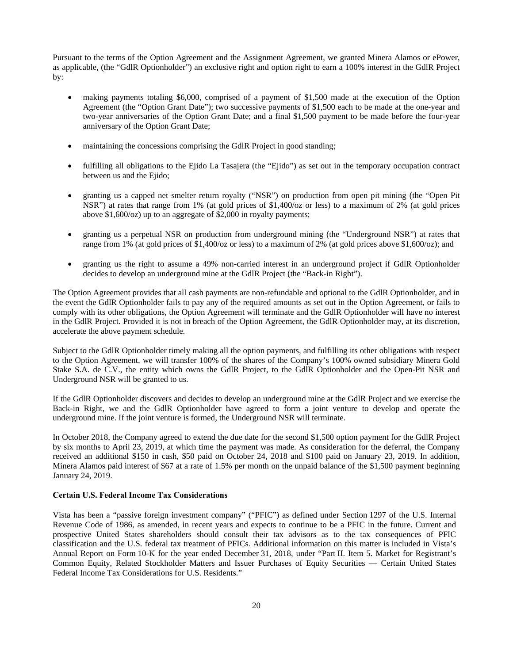Pursuant to the terms of the Option Agreement and the Assignment Agreement, we granted Minera Alamos or ePower, as applicable, (the "GdlR Optionholder") an exclusive right and option right to earn a 100% interest in the GdlR Project by:

- making payments totaling \$6,000, comprised of a payment of \$1,500 made at the execution of the Option Agreement (the "Option Grant Date"); two successive payments of \$1,500 each to be made at the one-year and two-year anniversaries of the Option Grant Date; and a final \$1,500 payment to be made before the four-year anniversary of the Option Grant Date;
- maintaining the concessions comprising the GdlR Project in good standing;
- fulfilling all obligations to the Ejido La Tasajera (the "Ejido") as set out in the temporary occupation contract between us and the Ejido;
- granting us a capped net smelter return royalty ("NSR") on production from open pit mining (the "Open Pit NSR") at rates that range from 1% (at gold prices of \$1,400/oz or less) to a maximum of 2% (at gold prices above \$1,600/oz) up to an aggregate of \$2,000 in royalty payments;
- granting us a perpetual NSR on production from underground mining (the "Underground NSR") at rates that range from 1% (at gold prices of \$1,400/oz or less) to a maximum of 2% (at gold prices above \$1,600/oz); and
- granting us the right to assume a 49% non-carried interest in an underground project if GdlR Optionholder decides to develop an underground mine at the GdlR Project (the "Back-in Right").

The Option Agreement provides that all cash payments are non-refundable and optional to the GdlR Optionholder, and in the event the GdlR Optionholder fails to pay any of the required amounts as set out in the Option Agreement, or fails to comply with its other obligations, the Option Agreement will terminate and the GdlR Optionholder will have no interest in the GdlR Project. Provided it is not in breach of the Option Agreement, the GdlR Optionholder may, at its discretion, accelerate the above payment schedule.

Subject to the GdlR Optionholder timely making all the option payments, and fulfilling its other obligations with respect to the Option Agreement, we will transfer 100% of the shares of the Company's 100% owned subsidiary Minera Gold Stake S.A. de C.V., the entity which owns the GdlR Project, to the GdlR Optionholder and the Open-Pit NSR and Underground NSR will be granted to us.

If the GdlR Optionholder discovers and decides to develop an underground mine at the GdlR Project and we exercise the Back-in Right, we and the GdlR Optionholder have agreed to form a joint venture to develop and operate the underground mine. If the joint venture is formed, the Underground NSR will terminate.

In October 2018, the Company agreed to extend the due date for the second \$1,500 option payment for the GdlR Project by six months to April 23, 2019, at which time the payment was made. As consideration for the deferral, the Company received an additional \$150 in cash, \$50 paid on October 24, 2018 and \$100 paid on January 23, 2019. In addition, Minera Alamos paid interest of \$67 at a rate of 1.5% per month on the unpaid balance of the \$1,500 payment beginning January 24, 2019.

## **Certain U.S. Federal Income Tax Considerations**

Vista has been a "passive foreign investment company" ("PFIC") as defined under Section 1297 of the U.S. Internal Revenue Code of 1986, as amended, in recent years and expects to continue to be a PFIC in the future. Current and prospective United States shareholders should consult their tax advisors as to the tax consequences of PFIC classification and the U.S. federal tax treatment of PFICs. Additional information on this matter is included in Vista's Annual Report on Form 10-K for the year ended December 31, 2018, under "Part II. Item 5. Market for Registrant's Common Equity, Related Stockholder Matters and Issuer Purchases of Equity Securities — Certain United States Federal Income Tax Considerations for U.S. Residents."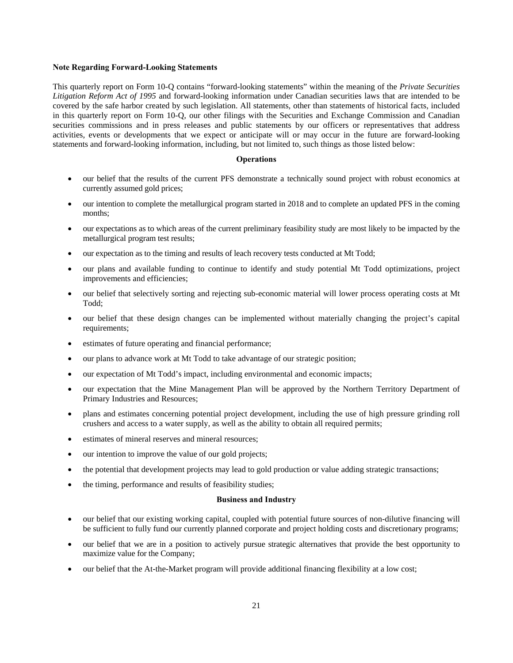#### **Note Regarding Forward-Looking Statements**

This quarterly report on Form 10-Q contains "forward-looking statements" within the meaning of the *Private Securities Litigation Reform Act of 1995* and forward-looking information under Canadian securities laws that are intended to be covered by the safe harbor created by such legislation. All statements, other than statements of historical facts, included in this quarterly report on Form 10-Q, our other filings with the Securities and Exchange Commission and Canadian securities commissions and in press releases and public statements by our officers or representatives that address activities, events or developments that we expect or anticipate will or may occur in the future are forward-looking statements and forward-looking information, including, but not limited to, such things as those listed below:

### **Operations**

- our belief that the results of the current PFS demonstrate a technically sound project with robust economics at currently assumed gold prices;
- our intention to complete the metallurgical program started in 2018 and to complete an updated PFS in the coming months;
- our expectations as to which areas of the current preliminary feasibility study are most likely to be impacted by the metallurgical program test results;
- our expectation as to the timing and results of leach recovery tests conducted at Mt Todd;
- our plans and available funding to continue to identify and study potential Mt Todd optimizations, project improvements and efficiencies;
- our belief that selectively sorting and rejecting sub-economic material will lower process operating costs at Mt Todd;
- our belief that these design changes can be implemented without materially changing the project's capital requirements;
- estimates of future operating and financial performance;
- our plans to advance work at Mt Todd to take advantage of our strategic position;
- our expectation of Mt Todd's impact, including environmental and economic impacts;
- our expectation that the Mine Management Plan will be approved by the Northern Territory Department of Primary Industries and Resources;
- plans and estimates concerning potential project development, including the use of high pressure grinding roll crushers and access to a water supply, as well as the ability to obtain all required permits;
- estimates of mineral reserves and mineral resources;
- our intention to improve the value of our gold projects;
- the potential that development projects may lead to gold production or value adding strategic transactions;
- the timing, performance and results of feasibility studies;

#### **Business and Industry**

- our belief that our existing working capital, coupled with potential future sources of non-dilutive financing will be sufficient to fully fund our currently planned corporate and project holding costs and discretionary programs;
- our belief that we are in a position to actively pursue strategic alternatives that provide the best opportunity to maximize value for the Company;
- our belief that the At-the-Market program will provide additional financing flexibility at a low cost;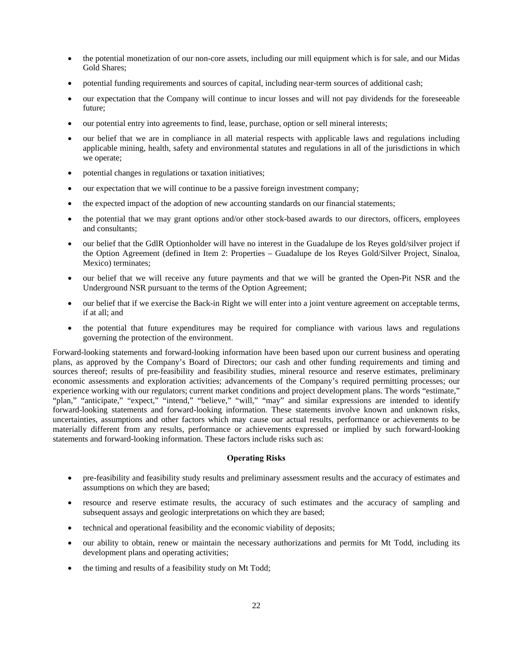- the potential monetization of our non-core assets, including our mill equipment which is for sale, and our Midas Gold Shares;
- potential funding requirements and sources of capital, including near-term sources of additional cash;
- our expectation that the Company will continue to incur losses and will not pay dividends for the foreseeable future;
- our potential entry into agreements to find, lease, purchase, option or sell mineral interests;
- our belief that we are in compliance in all material respects with applicable laws and regulations including applicable mining, health, safety and environmental statutes and regulations in all of the jurisdictions in which we operate;
- potential changes in regulations or taxation initiatives;
- our expectation that we will continue to be a passive foreign investment company;
- the expected impact of the adoption of new accounting standards on our financial statements;
- the potential that we may grant options and/or other stock-based awards to our directors, officers, employees and consultants;
- our belief that the GdlR Optionholder will have no interest in the Guadalupe de los Reyes gold/silver project if the Option Agreement (defined in Item 2: Properties – Guadalupe de los Reyes Gold/Silver Project, Sinaloa, Mexico) terminates;
- our belief that we will receive any future payments and that we will be granted the Open-Pit NSR and the Underground NSR pursuant to the terms of the Option Agreement;
- our belief that if we exercise the Back-in Right we will enter into a joint venture agreement on acceptable terms, if at all; and
- the potential that future expenditures may be required for compliance with various laws and regulations governing the protection of the environment.

Forward-looking statements and forward-looking information have been based upon our current business and operating plans, as approved by the Company's Board of Directors; our cash and other funding requirements and timing and sources thereof; results of pre-feasibility and feasibility studies, mineral resource and reserve estimates, preliminary economic assessments and exploration activities; advancements of the Company's required permitting processes; our experience working with our regulators; current market conditions and project development plans. The words "estimate," "plan," "anticipate," "expect," "intend," "believe," "will," "may" and similar expressions are intended to identify forward-looking statements and forward-looking information. These statements involve known and unknown risks, uncertainties, assumptions and other factors which may cause our actual results, performance or achievements to be materially different from any results, performance or achievements expressed or implied by such forward-looking statements and forward-looking information. These factors include risks such as:

## **Operating Risks**

- pre-feasibility and feasibility study results and preliminary assessment results and the accuracy of estimates and assumptions on which they are based;
- resource and reserve estimate results, the accuracy of such estimates and the accuracy of sampling and subsequent assays and geologic interpretations on which they are based;
- technical and operational feasibility and the economic viability of deposits;
- our ability to obtain, renew or maintain the necessary authorizations and permits for Mt Todd, including its development plans and operating activities;
- the timing and results of a feasibility study on Mt Todd;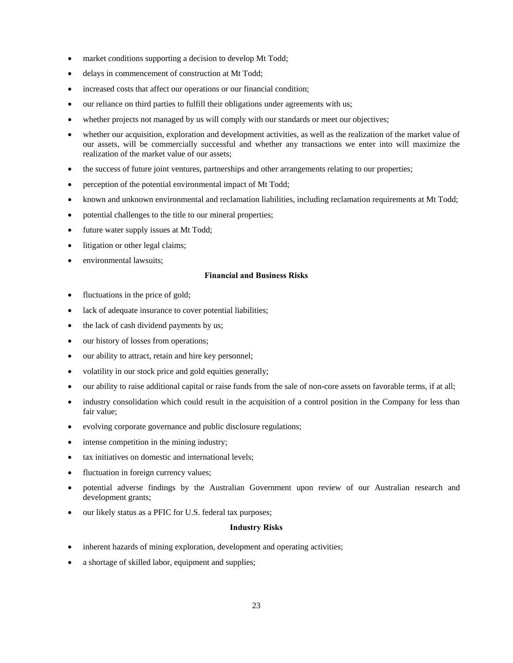- market conditions supporting a decision to develop Mt Todd;
- delays in commencement of construction at Mt Todd;
- increased costs that affect our operations or our financial condition;
- our reliance on third parties to fulfill their obligations under agreements with us;
- whether projects not managed by us will comply with our standards or meet our objectives;
- whether our acquisition, exploration and development activities, as well as the realization of the market value of our assets, will be commercially successful and whether any transactions we enter into will maximize the realization of the market value of our assets;
- the success of future joint ventures, partnerships and other arrangements relating to our properties;
- perception of the potential environmental impact of Mt Todd;
- known and unknown environmental and reclamation liabilities, including reclamation requirements at Mt Todd;
- potential challenges to the title to our mineral properties;
- future water supply issues at Mt Todd;
- litigation or other legal claims;
- environmental lawsuits;

## **Financial and Business Risks**

- fluctuations in the price of gold;
- lack of adequate insurance to cover potential liabilities;
- the lack of cash dividend payments by us;
- our history of losses from operations;
- our ability to attract, retain and hire key personnel;
- volatility in our stock price and gold equities generally;
- our ability to raise additional capital or raise funds from the sale of non-core assets on favorable terms, if at all;
- industry consolidation which could result in the acquisition of a control position in the Company for less than fair value;
- evolving corporate governance and public disclosure regulations;
- intense competition in the mining industry;
- tax initiatives on domestic and international levels;
- fluctuation in foreign currency values;
- potential adverse findings by the Australian Government upon review of our Australian research and development grants;
- our likely status as a PFIC for U.S. federal tax purposes;

#### **Industry Risks**

- inherent hazards of mining exploration, development and operating activities;
- a shortage of skilled labor, equipment and supplies;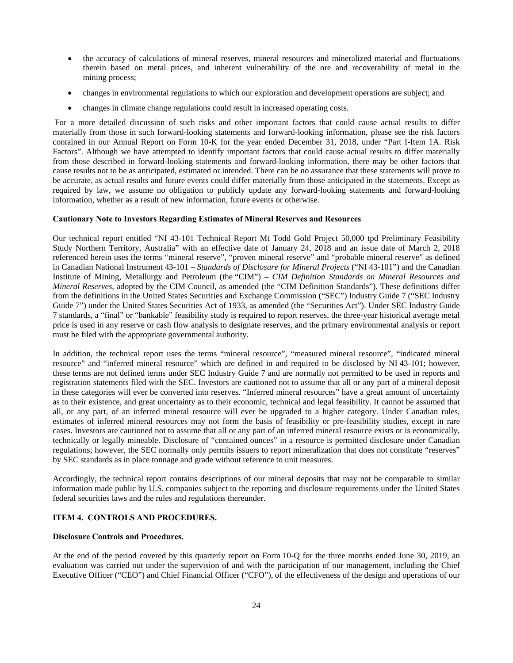- the accuracy of calculations of mineral reserves, mineral resources and mineralized material and fluctuations therein based on metal prices, and inherent vulnerability of the ore and recoverability of metal in the mining process;
- changes in environmental regulations to which our exploration and development operations are subject; and
- changes in climate change regulations could result in increased operating costs.

 For a more detailed discussion of such risks and other important factors that could cause actual results to differ materially from those in such forward-looking statements and forward-looking information, please see the risk factors contained in our Annual Report on Form 10-K for the year ended December 31, 2018, under "Part I-Item 1A. Risk Factors". Although we have attempted to identify important factors that could cause actual results to differ materially from those described in forward-looking statements and forward-looking information, there may be other factors that cause results not to be as anticipated, estimated or intended. There can be no assurance that these statements will prove to be accurate, as actual results and future events could differ materially from those anticipated in the statements. Except as required by law, we assume no obligation to publicly update any forward-looking statements and forward-looking information, whether as a result of new information, future events or otherwise.

#### **Cautionary Note to Investors Regarding Estimates of Mineral Reserves and Resources**

Our technical report entitled "NI 43-101 Technical Report Mt Todd Gold Project 50,000 tpd Preliminary Feasibility Study Northern Territory, Australia" with an effective date of January 24, 2018 and an issue date of March 2, 2018 referenced herein uses the terms "mineral reserve", "proven mineral reserve" and "probable mineral reserve" as defined in Canadian National Instrument 43-101 – *Standards of Disclosure for Mineral Projects* ("NI 43-101") and the Canadian Institute of Mining, Metallurgy and Petroleum (the "CIM") – *CIM Definition Standards on Mineral Resources and Mineral Reserves*, adopted by the CIM Council, as amended (the "CIM Definition Standards"). These definitions differ from the definitions in the United States Securities and Exchange Commission ("SEC") Industry Guide 7 ("SEC Industry Guide 7") under the United States Securities Act of 1933, as amended (the "Securities Act"). Under SEC Industry Guide 7 standards, a "final" or "bankable" feasibility study is required to report reserves, the three-year historical average metal price is used in any reserve or cash flow analysis to designate reserves, and the primary environmental analysis or report must be filed with the appropriate governmental authority.

In addition, the technical report uses the terms "mineral resource", "measured mineral resource", "indicated mineral resource" and "inferred mineral resource" which are defined in and required to be disclosed by NI 43-101; however, these terms are not defined terms under SEC Industry Guide 7 and are normally not permitted to be used in reports and registration statements filed with the SEC. Investors are cautioned not to assume that all or any part of a mineral deposit in these categories will ever be converted into reserves. "Inferred mineral resources" have a great amount of uncertainty as to their existence, and great uncertainty as to their economic, technical and legal feasibility. It cannot be assumed that all, or any part, of an inferred mineral resource will ever be upgraded to a higher category. Under Canadian rules, estimates of inferred mineral resources may not form the basis of feasibility or pre-feasibility studies, except in rare cases. Investors are cautioned not to assume that all or any part of an inferred mineral resource exists or is economically, technically or legally mineable. Disclosure of "contained ounces" in a resource is permitted disclosure under Canadian regulations; however, the SEC normally only permits issuers to report mineralization that does not constitute "reserves" by SEC standards as in place tonnage and grade without reference to unit measures.

Accordingly, the technical report contains descriptions of our mineral deposits that may not be comparable to similar information made public by U.S. companies subject to the reporting and disclosure requirements under the United States federal securities laws and the rules and regulations thereunder.

## **ITEM 4. CONTROLS AND PROCEDURES.**

#### **Disclosure Controls and Procedures.**

At the end of the period covered by this quarterly report on Form 10-Q for the three months ended June 30, 2019, an evaluation was carried out under the supervision of and with the participation of our management, including the Chief Executive Officer ("CEO") and Chief Financial Officer ("CFO"), of the effectiveness of the design and operations of our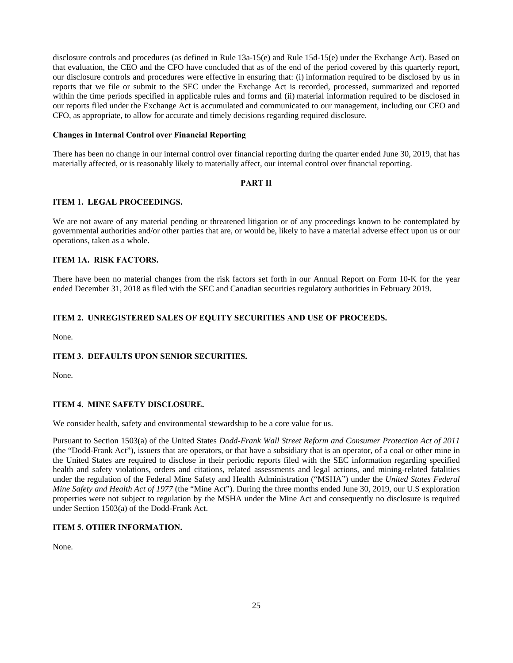disclosure controls and procedures (as defined in Rule 13a-15(e) and Rule 15d-15(e) under the Exchange Act). Based on that evaluation, the CEO and the CFO have concluded that as of the end of the period covered by this quarterly report, our disclosure controls and procedures were effective in ensuring that: (i) information required to be disclosed by us in reports that we file or submit to the SEC under the Exchange Act is recorded, processed, summarized and reported within the time periods specified in applicable rules and forms and (ii) material information required to be disclosed in our reports filed under the Exchange Act is accumulated and communicated to our management, including our CEO and CFO, as appropriate, to allow for accurate and timely decisions regarding required disclosure.

## **Changes in Internal Control over Financial Reporting**

There has been no change in our internal control over financial reporting during the quarter ended June 30, 2019, that has materially affected, or is reasonably likely to materially affect, our internal control over financial reporting.

#### **PART II**

## **ITEM 1. LEGAL PROCEEDINGS.**

We are not aware of any material pending or threatened litigation or of any proceedings known to be contemplated by governmental authorities and/or other parties that are, or would be, likely to have a material adverse effect upon us or our operations, taken as a whole.

## **ITEM 1A. RISK FACTORS.**

There have been no material changes from the risk factors set forth in our Annual Report on Form 10-K for the year ended December 31, 2018 as filed with the SEC and Canadian securities regulatory authorities in February 2019.

## **ITEM 2. UNREGISTERED SALES OF EQUITY SECURITIES AND USE OF PROCEEDS.**

None.

## **ITEM 3. DEFAULTS UPON SENIOR SECURITIES.**

None.

## **ITEM 4. MINE SAFETY DISCLOSURE.**

We consider health, safety and environmental stewardship to be a core value for us.

Pursuant to Section 1503(a) of the United States *Dodd-Frank Wall Street Reform and Consumer Protection Act of 2011* (the "Dodd-Frank Act"), issuers that are operators, or that have a subsidiary that is an operator, of a coal or other mine in the United States are required to disclose in their periodic reports filed with the SEC information regarding specified health and safety violations, orders and citations, related assessments and legal actions, and mining-related fatalities under the regulation of the Federal Mine Safety and Health Administration ("MSHA") under the *United States Federal Mine Safety and Health Act of 1977* (the "Mine Act"). During the three months ended June 30, 2019, our U.S exploration properties were not subject to regulation by the MSHA under the Mine Act and consequently no disclosure is required under Section 1503(a) of the Dodd-Frank Act.

## **ITEM 5. OTHER INFORMATION.**

None.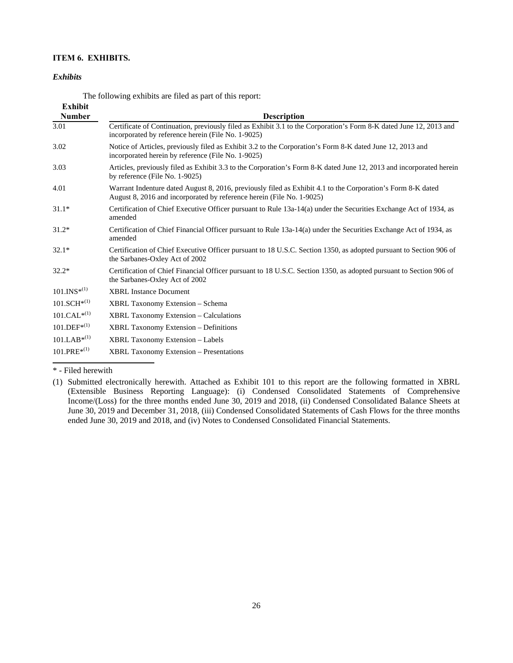## **ITEM 6. EXHIBITS.**

#### *Exhibits*

| <b>Exhibit</b>   |                                                                                                                                                                                      |
|------------------|--------------------------------------------------------------------------------------------------------------------------------------------------------------------------------------|
| <b>Number</b>    | <b>Description</b>                                                                                                                                                                   |
| 3.01             | Certificate of Continuation, previously filed as Exhibit 3.1 to the Corporation's Form 8-K dated June 12, 2013 and<br>incorporated by reference herein (File No. 1-9025)             |
| 3.02             | Notice of Articles, previously filed as Exhibit 3.2 to the Corporation's Form 8-K dated June 12, 2013 and<br>incorporated herein by reference (File No. 1-9025)                      |
| 3.03             | Articles, previously filed as Exhibit 3.3 to the Corporation's Form 8-K dated June 12, 2013 and incorporated herein<br>by reference (File No. 1-9025)                                |
| 4.01             | Warrant Indenture dated August 8, 2016, previously filed as Exhibit 4.1 to the Corporation's Form 8-K dated<br>August 8, 2016 and incorporated by reference herein (File No. 1-9025) |
| $31.1*$          | Certification of Chief Executive Officer pursuant to Rule 13a-14(a) under the Securities Exchange Act of 1934, as<br>amended                                                         |
| $31.2*$          | Certification of Chief Financial Officer pursuant to Rule 13a-14(a) under the Securities Exchange Act of 1934, as<br>amended                                                         |
| $32.1*$          | Certification of Chief Executive Officer pursuant to 18 U.S.C. Section 1350, as adopted pursuant to Section 906 of<br>the Sarbanes-Oxley Act of 2002                                 |
| $32.2*$          | Certification of Chief Financial Officer pursuant to 18 U.S.C. Section 1350, as adopted pursuant to Section 906 of<br>the Sarbanes-Oxley Act of 2002                                 |
| $101.INS*(1)$    | <b>XBRL Instance Document</b>                                                                                                                                                        |
| $101.SCH^{*(1)}$ | XBRL Taxonomy Extension – Schema                                                                                                                                                     |
| $101.CAL^{*(1)}$ | <b>XBRL Taxonomy Extension – Calculations</b>                                                                                                                                        |
| $101.DEF^{*(1)}$ | <b>XBRL Taxonomy Extension – Definitions</b>                                                                                                                                         |
| $101.LAB^{*(1)}$ | <b>XBRL Taxonomy Extension - Labels</b>                                                                                                                                              |
| $101.PRE*^{(1)}$ | <b>XBRL Taxonomy Extension – Presentations</b>                                                                                                                                       |

The following exhibits are filed as part of this report:

## \* - Filed herewith

<sup>(1)</sup> Submitted electronically herewith. Attached as Exhibit 101 to this report are the following formatted in XBRL (Extensible Business Reporting Language): (i) Condensed Consolidated Statements of Comprehensive Income/(Loss) for the three months ended June 30, 2019 and 2018, (ii) Condensed Consolidated Balance Sheets at June 30, 2019 and December 31, 2018, (iii) Condensed Consolidated Statements of Cash Flows for the three months ended June 30, 2019 and 2018, and (iv) Notes to Condensed Consolidated Financial Statements.